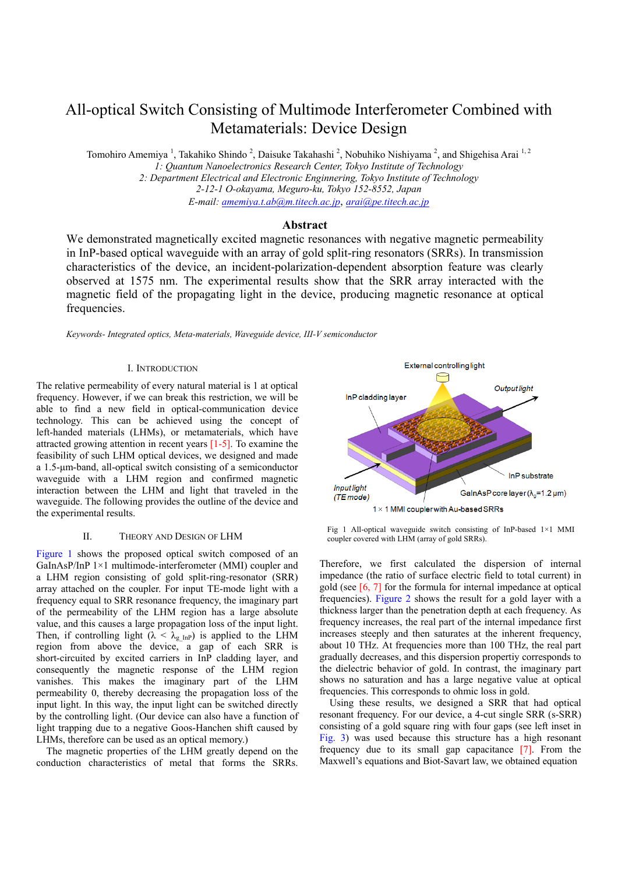# All-optical Switch Consisting of Multimode Interferometer Combined with Metamaterials: Device Design

Tomohiro Amemiya<sup>1</sup>, Takahiko Shindo<sup>2</sup>, Daisuke Takahashi<sup>2</sup>, Nobuhiko Nishiyama<sup>2</sup>, and Shigehisa Arai<sup>1,2</sup> *1: Quantum Nanoelectronics Research Center, Tokyo Institute of Technology* 

*2: Department Electrical and Electronic Enginnering, Tokyo Institute of Technology 2-12-1 O-okayama, Meguro-ku, Tokyo 152-8552, Japan E-mail: amemiya.t.ab@m.titech.ac.jp*, *arai@pe.titech.ac.jp*

# **Abstract**

We demonstrated magnetically excited magnetic resonances with negative magnetic permeability in InP-based optical waveguide with an array of gold split-ring resonators (SRRs). In transmission characteristics of the device, an incident-polarization-dependent absorption feature was clearly observed at 1575 nm. The experimental results show that the SRR array interacted with the magnetic field of the propagating light in the device, producing magnetic resonance at optical frequencies.

*Keywords- Integrated optics, Meta-materials, Waveguide device, III-V semiconductor* 

# I. INTRODUCTION

The relative permeability of every natural material is 1 at optical frequency. However, if we can break this restriction, we will be able to find a new field in optical-communication device technology. This can be achieved using the concept of left-handed materials (LHMs), or metamaterials, which have attracted growing attention in recent years [1-5]. To examine the feasibility of such LHM optical devices, we designed and made a 1.5-μm-band, all-optical switch consisting of a semiconductor waveguide with a LHM region and confirmed magnetic interaction between the LHM and light that traveled in the waveguide. The following provides the outline of the device and the experimental results.

## II. THEORY AND DESIGN OF LHM

Figure 1 shows the proposed optical switch composed of an GaInAsP/InP 1×1 multimode-interferometer (MMI) coupler and a LHM region consisting of gold split-ring-resonator (SRR) array attached on the coupler. For input TE-mode light with a frequency equal to SRR resonance frequency, the imaginary part of the permeability of the LHM region has a large absolute value, and this causes a large propagation loss of the input light. Then, if controlling light  $(\lambda < \lambda_{g \text{ InP}})$  is applied to the LHM region from above the device, a gap of each SRR is short-circuited by excited carriers in InP cladding layer, and consequently the magnetic response of the LHM region vanishes. This makes the imaginary part of the LHM permeability 0, thereby decreasing the propagation loss of the input light. In this way, the input light can be switched directly by the controlling light. (Our device can also have a function of light trapping due to a negative Goos-Hanchen shift caused by LHMs, therefore can be used as an optical memory.)

The magnetic properties of the LHM greatly depend on the conduction characteristics of metal that forms the SRRs.



Fig 1 All-optical waveguide switch consisting of InP-based 1×1 MMI coupler covered with LHM (array of gold SRRs).

Therefore, we first calculated the dispersion of internal impedance (the ratio of surface electric field to total current) in gold (see [6, 7] for the formula for internal impedance at optical frequencies). Figure 2 shows the result for a gold layer with a thickness larger than the penetration depth at each frequency. As frequency increases, the real part of the internal impedance first increases steeply and then saturates at the inherent frequency, about 10 THz. At frequencies more than 100 THz, the real part gradually decreases, and this dispersion propertiy corresponds to the dielectric behavior of gold. In contrast, the imaginary part shows no saturation and has a large negative value at optical frequencies. This corresponds to ohmic loss in gold.

Using these results, we designed a SRR that had optical resonant frequency. For our device, a 4-cut single SRR (s-SRR) consisting of a gold square ring with four gaps (see left inset in Fig. 3) was used because this structure has a high resonant frequency due to its small gap capacitance [7]. From the Maxwell's equations and Biot-Savart law, we obtained equation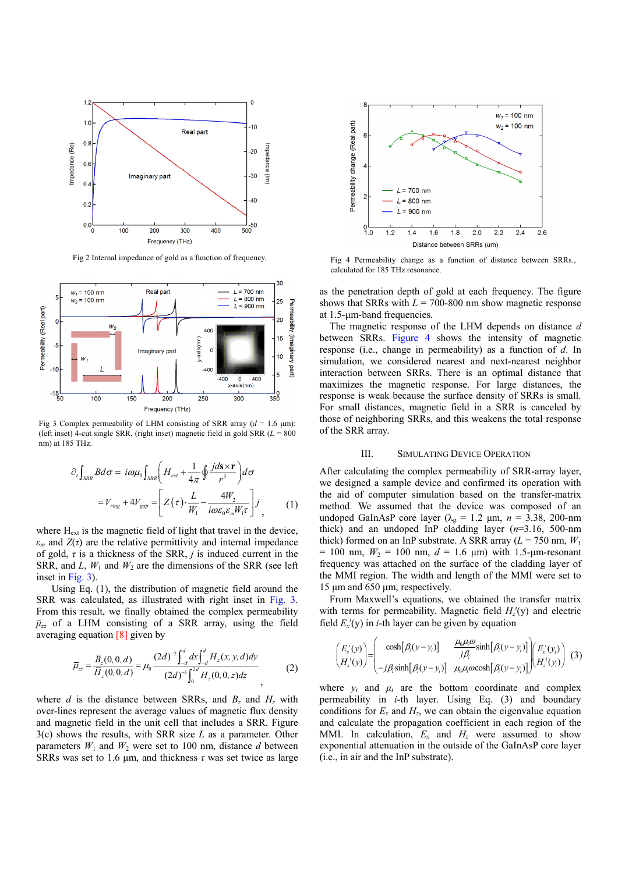

Fig 2 Internal impedance of gold as a function of frequency.



Fig 3 Complex permeability of LHM consisting of SRR array  $(d = 1.6 \text{ }\mu\text{m})$ : (left inset) 4-cut single SRR, (right inset) magnetic field in gold SRR (*L* = 800 nm) at 185 THz.

$$
\partial_{t} \int_{SRR} B d\sigma = i\omega \mu_{0} \int_{SRR} \left( H_{ext} + \frac{1}{4\pi} \oint \frac{j d\mathbf{s} \times \mathbf{r}}{r^{3}} \right) d\sigma
$$

$$
= V_{ring} + 4V_{gap} = \left[ Z(\tau) \cdot \frac{L}{W_{1}} - \frac{4W_{2}}{i\omega \varepsilon_{0} \varepsilon_{m} W_{1} \tau} \right] j \tag{1}
$$

where H<sub>ext</sub> is the magnetic field of light that travel in the device,  $\varepsilon_m$  and  $Z(\tau)$  are the relative permittivity and internal impedance of gold, *τ* is a thickness of the SRR, *j* is induced current in the SRR, and  $L$ ,  $W_1$  and  $W_2$  are the dimensions of the SRR (see left inset in Fig. 3).

 Using Eq. (1), the distribution of magnetic field around the SRR was calculated, as illustrated with right inset in Fig. 3. From this result, we finally obtained the complex permeability  $\bar{\mu}_{zz}$  of a LHM consisting of a SRR array, using the field averaging equation [8] given by

$$
\overline{\mu}_{zz} = \frac{\overline{B}_z(0,0,d)}{\overline{H}_z(0,0,d)} = \mu_0 \frac{(2d)^{-2} \int_{-d}^{d} dx \int_{-d}^{d} H_z(x, y, d) dy}{(2d)^{-1} \int_{0}^{2d} H_z(0,0,z) dz}
$$
(2)

where *d* is the distance between SRRs, and  $B<sub>z</sub>$  and  $H<sub>z</sub>$  with over-lines represent the average values of magnetic flux density and magnetic field in the unit cell that includes a SRR. Figure 3(c) shows the results, with SRR size *L* as a parameter. Other parameters  $W_1$  and  $W_2$  were set to 100 nm, distance *d* between SRRs was set to 1.6  $\mu$ m, and thickness  $\tau$  was set twice as large



Fig 4 Permeability change as a function of distance between SRRs., calculated for 185 THz resonance.

as the penetration depth of gold at each frequency. The figure shows that SRRs with  $L = 700-800$  nm show magnetic response at 1.5-μm-band frequencies*.*

The magnetic response of the LHM depends on distance *d* between SRRs. Figure 4 shows the intensity of magnetic response (i.e., change in permeability) as a function of *d*. In simulation, we considered nearest and next-nearest neighbor interaction between SRRs. There is an optimal distance that maximizes the magnetic response. For large distances, the response is weak because the surface density of SRRs is small. For small distances, magnetic field in a SRR is canceled by those of neighboring SRRs, and this weakens the total response of the SRR array.

## III. SIMULATING DEVICE OPERATION

After calculating the complex permeability of SRR-array layer, we designed a sample device and confirmed its operation with the aid of computer simulation based on the transfer-matrix method. We assumed that the device was composed of an undoped GaInAsP core layer (λ<sub>g</sub> = 1.2 μm,  $n = 3.38$ , 200-nm thick) and an undoped InP cladding layer (*n*=3.16, 500-nm thick) formed on an InP substrate. A SRR array ( $L = 750$  nm,  $W_1$ )  $= 100$  nm,  $W_2 = 100$  nm,  $d = 1.6$  µm) with 1.5-µm-resonant frequency was attached on the surface of the cladding layer of the MMI region. The width and length of the MMI were set to 15 μm and 650 μm, respectively.

From Maxwell's equations, we obtained the transfer matrix with terms for permeability. Magnetic field  $H_z^i(y)$  and electric field  $E_x^i(y)$  in *i*-th layer can be given by equation

$$
\begin{pmatrix} E'_x(y) \\ H'_z(y) \end{pmatrix} = \begin{pmatrix} \cosh[\beta_i(y-y_i)] & \frac{\mu_0 \mu_i \omega}{j\beta_i} \sinh[\beta_i(y-y_i)] \\ -j\beta_i \sinh[\beta_i(y-y_i)] & \mu_0 \mu_i \omega \cosh[\beta_i(y-y_i)] \end{pmatrix} \begin{pmatrix} E'_x(y_i) \\ H'_z(y_i) \end{pmatrix} (3)
$$

where  $y_i$  and  $\mu_i$  are the bottom coordinate and complex permeability in *i*-th layer. Using Eq. (3) and boundary conditions for  $E_x$  and  $H_z$ , we can obtain the eigenvalue equation and calculate the propagation coefficient in each region of the MMI. In calculation,  $E_x$  and  $H_z$  were assumed to show exponential attenuation in the outside of the GaInAsP core layer (i.e., in air and the InP substrate).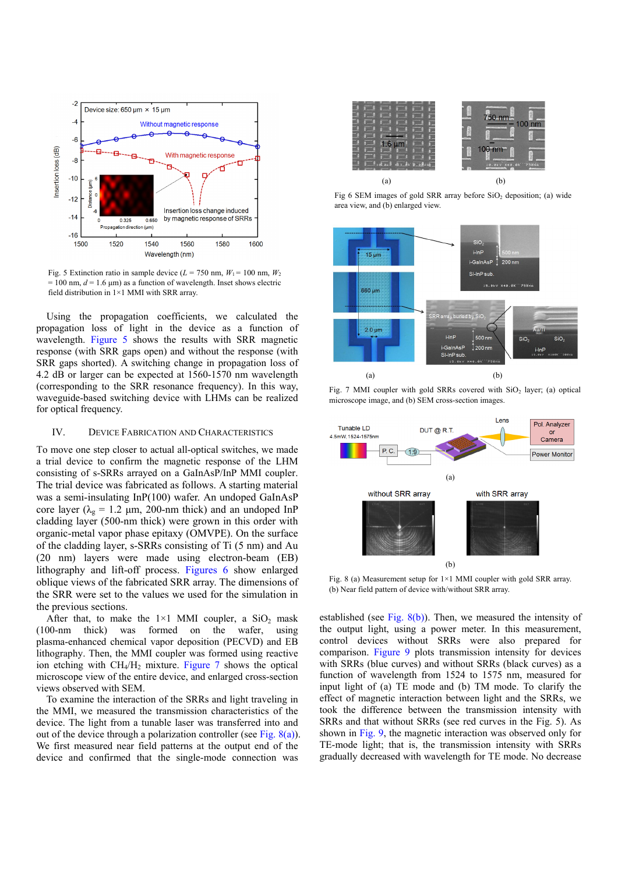

Fig. 5 Extinction ratio in sample device  $(L = 750 \text{ nm}, W_1 = 100 \text{ nm}, W_2$  $= 100$  nm,  $d = 1.6$  μm) as a function of wavelength. Inset shows electric field distribution in 1×1 MMI with SRR array.

 Using the propagation coefficients, we calculated the propagation loss of light in the device as a function of wavelength. Figure 5 shows the results with SRR magnetic response (with SRR gaps open) and without the response (with SRR gaps shorted). A switching change in propagation loss of 4.2 dB or larger can be expected at 1560-1570 nm wavelength (corresponding to the SRR resonance frequency). In this way, waveguide-based switching device with LHMs can be realized for optical frequency.

## IV. DEVICE FABRICATION AND CHARACTERISTICS

To move one step closer to actual all-optical switches, we made a trial device to confirm the magnetic response of the LHM consisting of s-SRRs arrayed on a GaInAsP/InP MMI coupler. The trial device was fabricated as follows. A starting material was a semi-insulating InP(100) wafer. An undoped GaInAsP core layer ( $\lambda_g = 1.2$  μm, 200-nm thick) and an undoped InP cladding layer (500-nm thick) were grown in this order with organic-metal vapor phase epitaxy (OMVPE). On the surface of the cladding layer, s-SRRs consisting of Ti (5 nm) and Au (20 nm) layers were made using electron-beam (EB) lithography and lift-off process. Figures 6 show enlarged oblique views of the fabricated SRR array. The dimensions of the SRR were set to the values we used for the simulation in the previous sections.

After that, to make the  $1\times1$  MMI coupler, a SiO<sub>2</sub> mask (100-nm thick) was formed on the wafer, using plasma-enhanced chemical vapor deposition (PECVD) and EB lithography. Then, the MMI coupler was formed using reactive ion etching with  $CH_4/H_2$  mixture. Figure 7 shows the optical microscope view of the entire device, and enlarged cross-section views observed with SEM.

To examine the interaction of the SRRs and light traveling in the MMI, we measured the transmission characteristics of the device. The light from a tunable laser was transferred into and out of the device through a polarization controller (see Fig.  $8(a)$ ). We first measured near field patterns at the output end of the device and confirmed that the single-mode connection was



Fig 6 SEM images of gold SRR array before  $SiO<sub>2</sub>$  deposition; (a) wide area view, and (b) enlarged view.



Fig. 7 MMI coupler with gold SRRs covered with  $SiO<sub>2</sub>$  layer; (a) optical microscope image, and (b) SEM cross-section images.



Fig. 8 (a) Measurement setup for  $1\times1$  MMI coupler with gold SRR array. (b) Near field pattern of device with/without SRR array.

established (see Fig. 8(b)). Then, we measured the intensity of the output light, using a power meter. In this measurement, control devices without SRRs were also prepared for comparison. Figure 9 plots transmission intensity for devices with SRRs (blue curves) and without SRRs (black curves) as a function of wavelength from 1524 to 1575 nm, measured for input light of (a) TE mode and (b) TM mode. To clarify the effect of magnetic interaction between light and the SRRs, we took the difference between the transmission intensity with SRRs and that without SRRs (see red curves in the Fig. 5). As shown in Fig. 9, the magnetic interaction was observed only for TE-mode light; that is, the transmission intensity with SRRs gradually decreased with wavelength for TE mode. No decrease